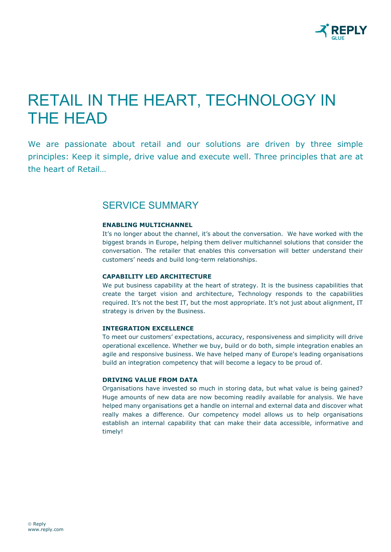

# RETAIL IN THE HEART, TECHNOLOGY IN THE HEAD

We are passionate about retail and our solutions are driven by three simple principles: Keep it simple, drive value and execute well. Three principles that are at the heart of Retail…

## SERVICE SUMMARY

#### **ENABLING MULTICHANNEL**

It's no longer about the channel, it's about the conversation. We have worked with the biggest brands in Europe, helping them deliver multichannel solutions that consider the conversation. The retailer that enables this conversation will better understand their customers' needs and build long-term relationships.

#### **CAPABILITY LED ARCHITECTURE**

We put business capability at the heart of strategy. It is the business capabilities that create the target vision and architecture, Technology responds to the capabilities required. It's not the best IT, but the most appropriate. It's not just about alignment, IT strategy is driven by the Business.

#### **INTEGRATION EXCELLENCE**

To meet our customers' expectations, accuracy, responsiveness and simplicity will drive operational excellence. Whether we buy, build or do both, simple integration enables an agile and responsive business. We have helped many of Europe's leading organisations build an integration competency that will become a legacy to be proud of.

#### **DRIVING VALUE FROM DATA**

Organisations have invested so much in storing data, but what value is being gained? Huge amounts of new data are now becoming readily available for analysis. We have helped many organisations get a handle on internal and external data and discover what really makes a difference. Our competency model allows us to help organisations establish an internal capability that can make their data accessible, informative and timely!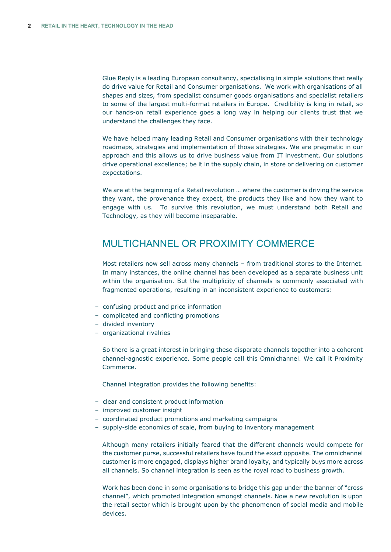Glue Reply is a leading European consultancy, specialising in simple solutions that really do drive value for Retail and Consumer organisations. We work with organisations of all shapes and sizes, from specialist consumer goods organisations and specialist retailers to some of the largest multi-format retailers in Europe. Credibility is king in retail, so our hands-on retail experience goes a long way in helping our clients trust that we understand the challenges they face.

We have helped many leading Retail and Consumer organisations with their technology roadmaps, strategies and implementation of those strategies. We are pragmatic in our approach and this allows us to drive business value from IT investment. Our solutions drive operational excellence; be it in the supply chain, in store or delivering on customer expectations.

We are at the beginning of a Retail revolution … where the customer is driving the service they want, the provenance they expect, the products they like and how they want to engage with us. To survive this revolution, we must understand both Retail and Technology, as they will become inseparable.

# MULTICHANNEL OR PROXIMITY COMMERCE

Most retailers now sell across many channels – from traditional stores to the Internet. In many instances, the online channel has been developed as a separate business unit within the organisation. But the multiplicity of channels is commonly associated with fragmented operations, resulting in an inconsistent experience to customers:

- confusing product and price information
- complicated and conflicting promotions
- divided inventory
- organizational rivalries

So there is a great interest in bringing these disparate channels together into a coherent channel-agnostic experience. Some people call this Omnichannel. We call it Proximity Commerce.

Channel integration provides the following benefits:

- clear and consistent product information
- improved customer insight
- coordinated product promotions and marketing campaigns
- supply-side economics of scale, from buying to inventory management

Although many retailers initially feared that the different channels would compete for the customer purse, successful retailers have found the exact opposite. The omnichannel customer is more engaged, displays higher brand loyalty, and typically buys more across all channels. So channel integration is seen as the royal road to business growth.

Work has been done in some organisations to bridge this gap under the banner of "cross channel", which promoted integration amongst channels. Now a new revolution is upon the retail sector which is brought upon by the phenomenon of social media and mobile devices.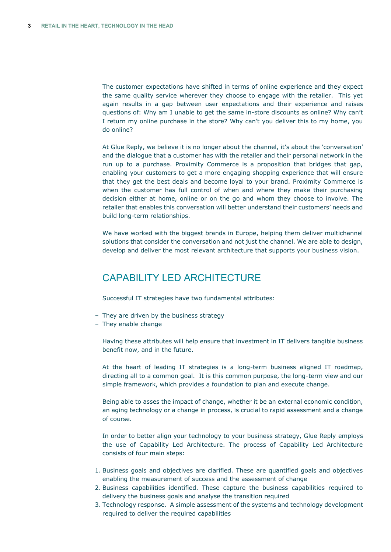The customer expectations have shifted in terms of online experience and they expect the same quality service wherever they choose to engage with the retailer. This yet again results in a gap between user expectations and their experience and raises questions of: Why am I unable to get the same in-store discounts as online? Why can't I return my online purchase in the store? Why can't you deliver this to my home, you do online?

At Glue Reply, we believe it is no longer about the channel, it's about the 'conversation' and the dialogue that a customer has with the retailer and their personal network in the run up to a purchase. Proximity Commerce is a proposition that bridges that gap, enabling your customers to get a more engaging shopping experience that will ensure that they get the best deals and become loyal to your brand. Proximity Commerce is when the customer has full control of when and where they make their purchasing decision either at home, online or on the go and whom they choose to involve. The retailer that enables this conversation will better understand their customers' needs and build long-term relationships.

We have worked with the biggest brands in Europe, helping them deliver multichannel solutions that consider the conversation and not just the channel. We are able to design, develop and deliver the most relevant architecture that supports your business vision.

# CAPABILITY LED ARCHITECTURE

Successful IT strategies have two fundamental attributes:

- They are driven by the business strategy
- They enable change

Having these attributes will help ensure that investment in IT delivers tangible business benefit now, and in the future.

At the heart of leading IT strategies is a long-term business aligned IT roadmap, directing all to a common goal. It is this common purpose, the long-term view and our simple framework, which provides a foundation to plan and execute change.

Being able to asses the impact of change, whether it be an external economic condition, an aging technology or a change in process, is crucial to rapid assessment and a change of course.

In order to better align your technology to your business strategy, Glue Reply employs the use of Capability Led Architecture. The process of Capability Led Architecture consists of four main steps:

- 1. Business goals and objectives are clarified. These are quantified goals and objectives enabling the measurement of success and the assessment of change
- 2. Business capabilities identified. These capture the business capabilities required to delivery the business goals and analyse the transition required
- 3. Technology response. A simple assessment of the systems and technology development required to deliver the required capabilities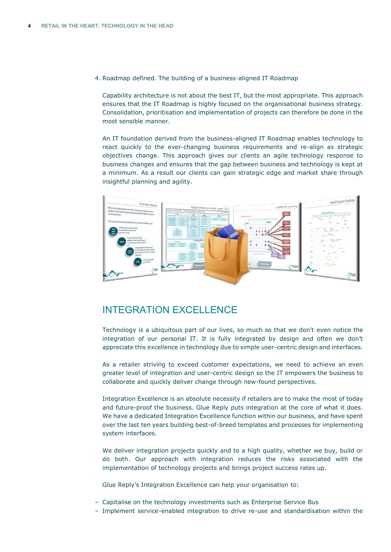4. Roadmap defined. The building of a business-aligned IT Roadmap

Capability architecture is not about the best IT, but the most appropriate. This approach ensures that the IT Roadmap is highly focused on the organisational business strategy. Consolidation, prioritisation and implementation of projects can therefore be done in the most sensible manner.

An IT foundation derived from the business-aligned IT Roadmap enables technology to react quickly to the ever-changing business requirements and re-align as strategic objectives change. This approach gives our clients an agile technology response to business changes and ensures that the gap between business and technology is kept at a minimum. As a result our clients can gain strategic edge and market share through insightful planning and agility.



## INTEGRATION EXCELLENCE

Technology is a ubiquitous part of our lives, so much so that we don't even notice the integration of our personal IT. It is fully integrated by design and often we don't appreciate this excellence in technology due to simple user-centric design and interfaces.

As a retailer striving to exceed customer expectations, we need to achieve an even greater level of integration and user-centric design so the IT empowers the business to collaborate and quickly deliver change through new-found perspectives.

Integration Excellence is an absolute necessity if retailers are to make the most of today and future-proof the business. Glue Reply puts integration at the core of what it does. We have a dedicated Integration Excellence function within our business, and have spent over the last ten years building best-of-breed templates and processes for implementing system interfaces.

We deliver integration projects quickly and to a high quality, whether we buy, build or do both. Our approach with integration reduces the risks associated with the implementation of technology projects and brings project success rates up.

Glue Reply's Integration Excellence can help your organisation to:

- ‒ Capitalise on the technology investments such as Enterprise Service Bus
- ‒ Implement service-enabled integration to drive re-use and standardisation within the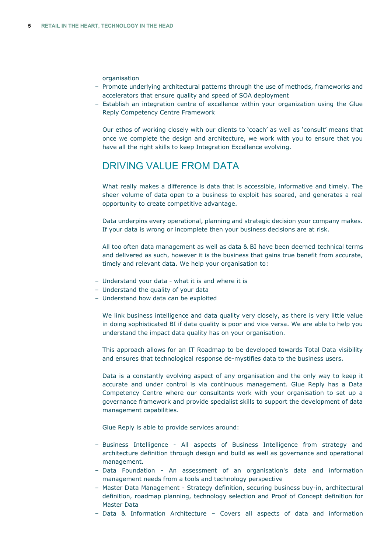organisation

- ‒ Promote underlying architectural patterns through the use of methods, frameworks and accelerators that ensure quality and speed of SOA deployment
- ‒ Establish an integration centre of excellence within your organization using the Glue Reply Competency Centre Framework

Our ethos of working closely with our clients to 'coach' as well as 'consult' means that once we complete the design and architecture, we work with you to ensure that you have all the right skills to keep Integration Excellence evolving.

# DRIVING VALUE FROM DATA

What really makes a difference is data that is accessible, informative and timely. The sheer volume of data open to a business to exploit has soared, and generates a real opportunity to create competitive advantage.

Data underpins every operational, planning and strategic decision your company makes. If your data is wrong or incomplete then your business decisions are at risk.

All too often data management as well as data & BI have been deemed technical terms and delivered as such, however it is the business that gains true benefit from accurate, timely and relevant data. We help your organisation to:

- ‒ Understand your data what it is and where it is
- Understand the quality of your data
- ‒ Understand how data can be exploited

We link business intelligence and data quality very closely, as there is very little value in doing sophisticated BI if data quality is poor and vice versa. We are able to help you understand the impact data quality has on your organisation.

This approach allows for an IT Roadmap to be developed towards Total Data visibility and ensures that technological response de-mystifies data to the business users.

Data is a constantly evolving aspect of any organisation and the only way to keep it accurate and under control is via continuous management. Glue Reply has a Data Competency Centre where our consultants work with your organisation to set up a governance framework and provide specialist skills to support the development of data management capabilities.

Glue Reply is able to provide services around:

- ‒ Business Intelligence All aspects of Business Intelligence from strategy and architecture definition through design and build as well as governance and operational management.
- ‒ Data Foundation An assessment of an organisation's data and information management needs from a tools and technology perspective
- ‒ Master Data Management Strategy definition, securing business buy-in, architectural definition, roadmap planning, technology selection and Proof of Concept definition for Master Data
- ‒ Data & Information Architecture Covers all aspects of data and information